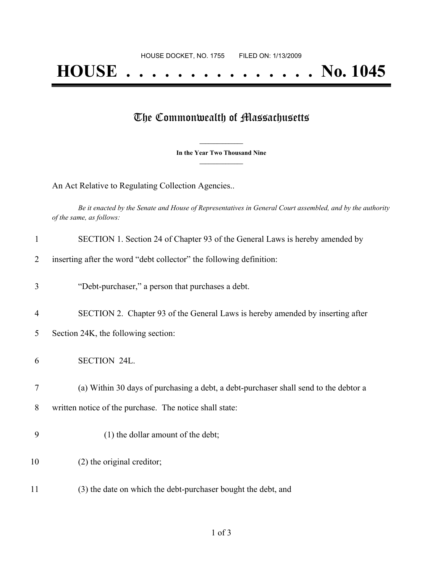## **HOUSE . . . . . . . . . . . . . . . No. 1045**

## The Commonwealth of Massachusetts

**\_\_\_\_\_\_\_\_\_\_\_\_\_\_\_ In the Year Two Thousand Nine \_\_\_\_\_\_\_\_\_\_\_\_\_\_\_**

An Act Relative to Regulating Collection Agencies..

Be it enacted by the Senate and House of Representatives in General Court assembled, and by the authority *of the same, as follows:*

| $\mathbf{1}$   | SECTION 1. Section 24 of Chapter 93 of the General Laws is hereby amended by         |
|----------------|--------------------------------------------------------------------------------------|
| $\overline{2}$ | inserting after the word "debt collector" the following definition:                  |
| 3              | "Debt-purchaser," a person that purchases a debt.                                    |
| $\overline{4}$ | SECTION 2. Chapter 93 of the General Laws is hereby amended by inserting after       |
| 5              | Section 24K, the following section:                                                  |
| 6              | <b>SECTION 24L.</b>                                                                  |
| 7              | (a) Within 30 days of purchasing a debt, a debt-purchaser shall send to the debtor a |
| 8              | written notice of the purchase. The notice shall state:                              |
| 9              | (1) the dollar amount of the debt;                                                   |
| 10             | (2) the original creditor;                                                           |
| 11             | (3) the date on which the debt-purchaser bought the debt, and                        |
|                |                                                                                      |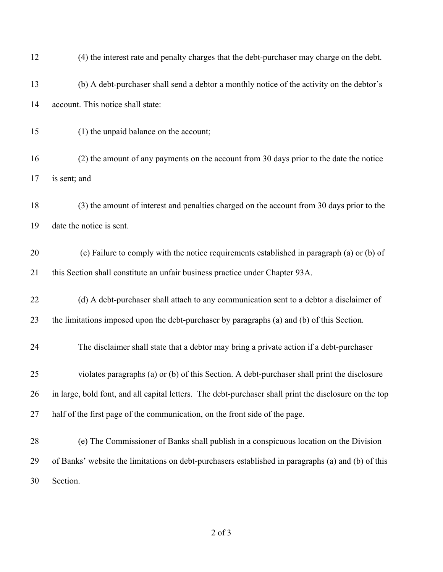| 12 | (4) the interest rate and penalty charges that the debt-purchaser may charge on the debt.              |
|----|--------------------------------------------------------------------------------------------------------|
| 13 | (b) A debt-purchaser shall send a debtor a monthly notice of the activity on the debtor's              |
| 14 | account. This notice shall state:                                                                      |
| 15 | (1) the unpaid balance on the account;                                                                 |
| 16 | (2) the amount of any payments on the account from 30 days prior to the date the notice                |
| 17 | is sent; and                                                                                           |
| 18 | (3) the amount of interest and penalties charged on the account from 30 days prior to the              |
| 19 | date the notice is sent.                                                                               |
| 20 | (c) Failure to comply with the notice requirements established in paragraph (a) or (b) of              |
| 21 | this Section shall constitute an unfair business practice under Chapter 93A.                           |
| 22 | (d) A debt-purchaser shall attach to any communication sent to a debtor a disclaimer of                |
| 23 | the limitations imposed upon the debt-purchaser by paragraphs (a) and (b) of this Section.             |
| 24 | The disclaimer shall state that a debtor may bring a private action if a debt-purchaser                |
| 25 | violates paragraphs (a) or (b) of this Section. A debt-purchaser shall print the disclosure            |
| 26 | in large, bold font, and all capital letters. The debt-purchaser shall print the disclosure on the top |
| 27 | half of the first page of the communication, on the front side of the page.                            |
| 28 | (e) The Commissioner of Banks shall publish in a conspicuous location on the Division                  |
| 29 | of Banks' website the limitations on debt-purchasers established in paragraphs (a) and (b) of this     |
| 30 | Section.                                                                                               |

of 3